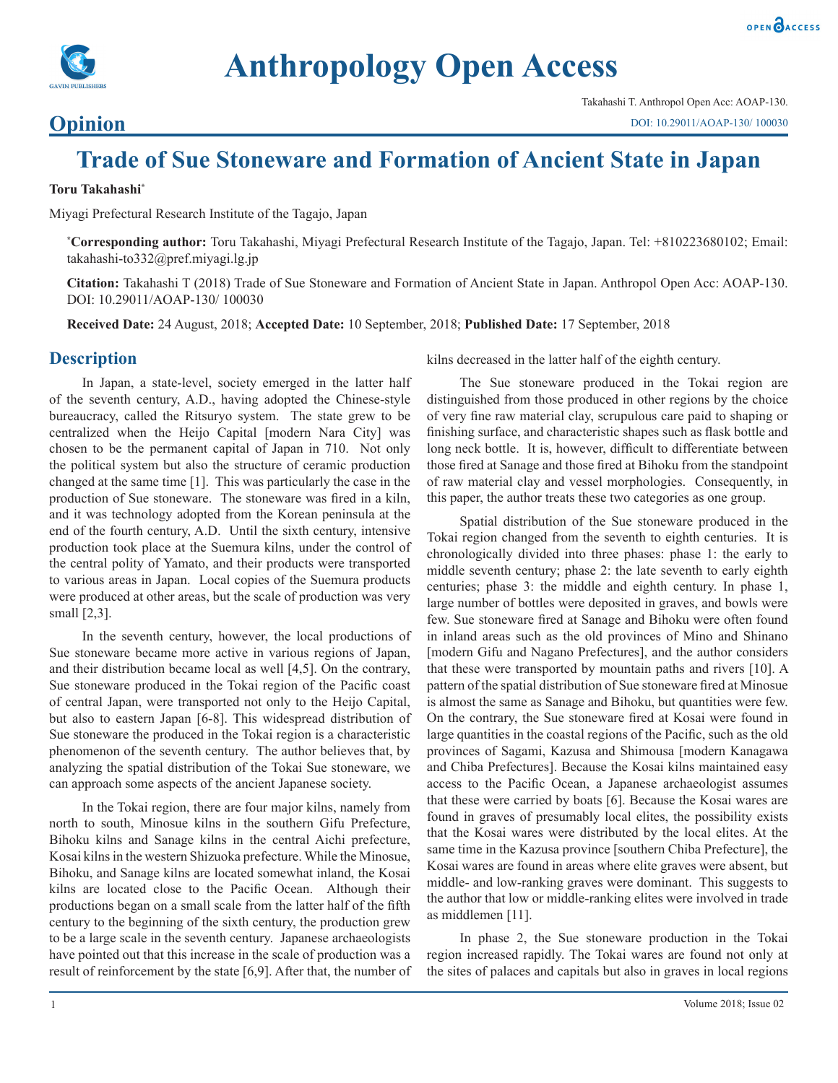

# **Anthropology Open Access**

### **Opinion**

## **Trade of Sue Stoneware and Formation of Ancient State in Japan**

#### **Toru Takahashi\***

Miyagi Prefectural Research Institute of the Tagajo, Japan

**\* Corresponding author:** Toru Takahashi, Miyagi Prefectural Research Institute of the Tagajo, Japan. Tel: +810223680102; Email: takahashi-to332@pref.miyagi.lg.jp

**Citation:** Takahashi T (2018) Trade of Sue Stoneware and Formation of Ancient State in Japan. Anthropol Open Acc: AOAP-130. DOI: 10.29011/AOAP-130/ 100030

**Received Date:** 24 August, 2018; **Accepted Date:** 10 September, 2018; **Published Date:** 17 September, 2018

#### **Description**

In Japan, a state-level, society emerged in the latter half of the seventh century, A.D., having adopted the Chinese-style bureaucracy, called the Ritsuryo system. The state grew to be centralized when the Heijo Capital [modern Nara City] was chosen to be the permanent capital of Japan in 710. Not only the political system but also the structure of ceramic production changed at the same time [1]. This was particularly the case in the production of Sue stoneware. The stoneware was fired in a kiln, and it was technology adopted from the Korean peninsula at the end of the fourth century, A.D. Until the sixth century, intensive production took place at the Suemura kilns, under the control of the central polity of Yamato, and their products were transported to various areas in Japan. Local copies of the Suemura products were produced at other areas, but the scale of production was very small [2,3].

In the seventh century, however, the local productions of Sue stoneware became more active in various regions of Japan, and their distribution became local as well [4,5]. On the contrary, Sue stoneware produced in the Tokai region of the Pacific coast of central Japan, were transported not only to the Heijo Capital, but also to eastern Japan [6-8]. This widespread distribution of Sue stoneware the produced in the Tokai region is a characteristic phenomenon of the seventh century. The author believes that, by analyzing the spatial distribution of the Tokai Sue stoneware, we can approach some aspects of the ancient Japanese society.

In the Tokai region, there are four major kilns, namely from north to south, Minosue kilns in the southern Gifu Prefecture, Bihoku kilns and Sanage kilns in the central Aichi prefecture, Kosai kilns in the western Shizuoka prefecture. While the Minosue, Bihoku, and Sanage kilns are located somewhat inland, the Kosai kilns are located close to the Pacific Ocean. Although their productions began on a small scale from the latter half of the fifth century to the beginning of the sixth century, the production grew to be a large scale in the seventh century. Japanese archaeologists have pointed out that this increase in the scale of production was a result of reinforcement by the state [6,9]. After that, the number of kilns decreased in the latter half of the eighth century.

The Sue stoneware produced in the Tokai region are distinguished from those produced in other regions by the choice of very fine raw material clay, scrupulous care paid to shaping or finishing surface, and characteristic shapes such as flask bottle and long neck bottle. It is, however, difficult to differentiate between those fired at Sanage and those fired at Bihoku from the standpoint of raw material clay and vessel morphologies. Consequently, in this paper, the author treats these two categories as one group.

Spatial distribution of the Sue stoneware produced in the Tokai region changed from the seventh to eighth centuries. It is chronologically divided into three phases: phase 1: the early to middle seventh century; phase 2: the late seventh to early eighth centuries; phase 3: the middle and eighth century. In phase 1, large number of bottles were deposited in graves, and bowls were few. Sue stoneware fired at Sanage and Bihoku were often found in inland areas such as the old provinces of Mino and Shinano [modern Gifu and Nagano Prefectures], and the author considers that these were transported by mountain paths and rivers [10]. A pattern of the spatial distribution of Sue stoneware fired at Minosue is almost the same as Sanage and Bihoku, but quantities were few. On the contrary, the Sue stoneware fired at Kosai were found in large quantities in the coastal regions of the Pacific, such as the old provinces of Sagami, Kazusa and Shimousa [modern Kanagawa and Chiba Prefectures]. Because the Kosai kilns maintained easy access to the Pacific Ocean, a Japanese archaeologist assumes that these were carried by boats [6]. Because the Kosai wares are found in graves of presumably local elites, the possibility exists that the Kosai wares were distributed by the local elites. At the same time in the Kazusa province [southern Chiba Prefecture], the Kosai wares are found in areas where elite graves were absent, but middle- and low-ranking graves were dominant. This suggests to the author that low or middle-ranking elites were involved in trade as middlemen [11].

In phase 2, the Sue stoneware production in the Tokai region increased rapidly. The Tokai wares are found not only at the sites of palaces and capitals but also in graves in local regions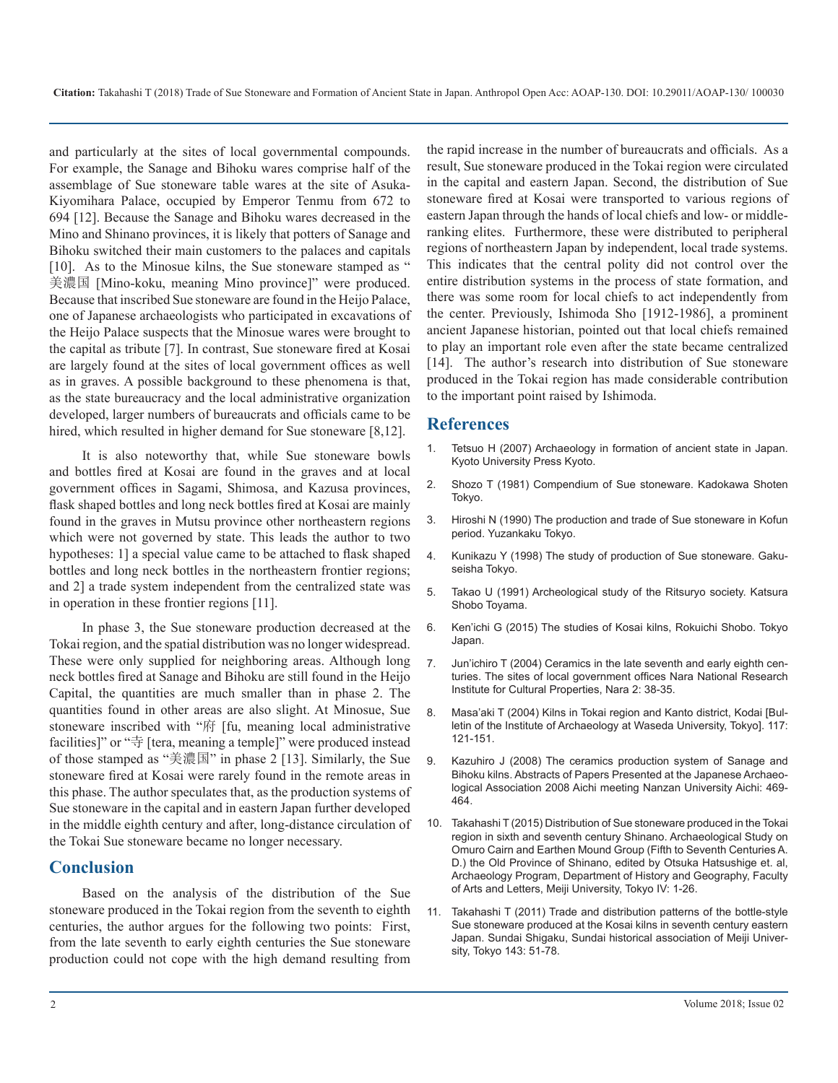and particularly at the sites of local governmental compounds. For example, the Sanage and Bihoku wares comprise half of the assemblage of Sue stoneware table wares at the site of Asuka-Kiyomihara Palace, occupied by Emperor Tenmu from 672 to 694 [12]. Because the Sanage and Bihoku wares decreased in the Mino and Shinano provinces, it is likely that potters of Sanage and Bihoku switched their main customers to the palaces and capitals [10]. As to the Minosue kilns, the Sue stoneware stamped as " 美濃国 [Mino-koku, meaning Mino province]" were produced. Because that inscribed Sue stoneware are found in the Heijo Palace, one of Japanese archaeologists who participated in excavations of the Heijo Palace suspects that the Minosue wares were brought to the capital as tribute [7]. In contrast, Sue stoneware fired at Kosai are largely found at the sites of local government offices as well as in graves. A possible background to these phenomena is that, as the state bureaucracy and the local administrative organization developed, larger numbers of bureaucrats and officials came to be hired, which resulted in higher demand for Sue stoneware [8,12].

It is also noteworthy that, while Sue stoneware bowls and bottles fired at Kosai are found in the graves and at local government offices in Sagami, Shimosa, and Kazusa provinces, flask shaped bottles and long neck bottles fired at Kosai are mainly found in the graves in Mutsu province other northeastern regions which were not governed by state. This leads the author to two hypotheses: 1] a special value came to be attached to flask shaped bottles and long neck bottles in the northeastern frontier regions; and 2] a trade system independent from the centralized state was in operation in these frontier regions [11].

In phase 3, the Sue stoneware production decreased at the Tokai region, and the spatial distribution was no longer widespread. These were only supplied for neighboring areas. Although long neck bottles fired at Sanage and Bihoku are still found in the Heijo Capital, the quantities are much smaller than in phase 2. The quantities found in other areas are also slight. At Minosue, Sue stoneware inscribed with "府 [fu, meaning local administrative facilities]" or "寺 [tera, meaning a temple]" were produced instead of those stamped as "美濃国" in phase 2 [13]. Similarly, the Sue stoneware fired at Kosai were rarely found in the remote areas in this phase. The author speculates that, as the production systems of Sue stoneware in the capital and in eastern Japan further developed in the middle eighth century and after, long-distance circulation of the Tokai Sue stoneware became no longer necessary.

#### **Conclusion**

Based on the analysis of the distribution of the Sue stoneware produced in the Tokai region from the seventh to eighth centuries, the author argues for the following two points: First, from the late seventh to early eighth centuries the Sue stoneware production could not cope with the high demand resulting from

the rapid increase in the number of bureaucrats and officials. As a result, Sue stoneware produced in the Tokai region were circulated in the capital and eastern Japan. Second, the distribution of Sue stoneware fired at Kosai were transported to various regions of eastern Japan through the hands of local chiefs and low- or middleranking elites. Furthermore, these were distributed to peripheral regions of northeastern Japan by independent, local trade systems. This indicates that the central polity did not control over the entire distribution systems in the process of state formation, and there was some room for local chiefs to act independently from the center. Previously, Ishimoda Sho [1912-1986], a prominent ancient Japanese historian, pointed out that local chiefs remained to play an important role even after the state became centralized [14]. The author's research into distribution of Sue stoneware produced in the Tokai region has made considerable contribution to the important point raised by Ishimoda.

#### **References**

- 1. Tetsuo H (2007) Archaeology in formation of ancient state in Japan. Kyoto University Press Kyoto.
- 2. Shozo T (1981) Compendium of Sue stoneware. Kadokawa Shoten Tokyo.
- 3. Hiroshi N (1990) The production and trade of Sue stoneware in Kofun period. Yuzankaku Tokyo.
- 4. Kunikazu Y (1998) The study of production of Sue stoneware. Gakuseisha Tokyo.
- 5. Takao U (1991) Archeological study of the Ritsuryo society. Katsura Shobo Toyama.
- 6. Ken'ichi G (2015) The studies of Kosai kilns, Rokuichi Shobo. Tokyo Japan.
- 7. Jun'ichiro T (2004) Ceramics in the late seventh and early eighth centuries. The sites of local government offices Nara National Research Institute for Cultural Properties, Nara 2: 38-35.
- 8. Masa'aki T (2004) Kilns in Tokai region and Kanto district, Kodai [Bulletin of the Institute of Archaeology at Waseda University, Tokyo]. 117: 121-151.
- 9. Kazuhiro J (2008) The ceramics production system of Sanage and Bihoku kilns. Abstracts of Papers Presented at the Japanese Archaeological Association 2008 Aichi meeting Nanzan University Aichi: 469- 464.
- 10. Takahashi T (2015) Distribution of Sue stoneware produced in the Tokai region in sixth and seventh century Shinano. Archaeological Study on Omuro Cairn and Earthen Mound Group (Fifth to Seventh Centuries A. D.) the Old Province of Shinano, edited by Otsuka Hatsushige et. al, Archaeology Program, Department of History and Geography, Faculty of Arts and Letters, Meiji University, Tokyo IV: 1-26.
- 11. Takahashi T (2011) Trade and distribution patterns of the bottle-style Sue stoneware produced at the Kosai kilns in seventh century eastern Japan. Sundai Shigaku, Sundai historical association of Meiji University, Tokyo 143: 51-78.